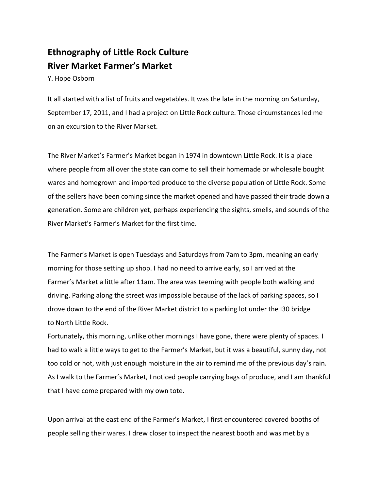## **Ethnography of Little Rock Culture River Market Farmer's Market**

Y. Hope Osborn

It all started with a list of fruits and vegetables. It was the late in the morning on Saturday, September 17, 2011, and I had a project on Little Rock culture. Those circumstances led me on an excursion to the River Market.

The River Market's Farmer's Market began in 1974 in downtown Little Rock. It is a place where people from all over the state can come to sell their homemade or wholesale bought wares and homegrown and imported produce to the diverse population of Little Rock. Some of the sellers have been coming since the market opened and have passed their trade down a generation. Some are children yet, perhaps experiencing the sights, smells, and sounds of the River Market's Farmer's Market for the first time.

The Farmer's Market is open Tuesdays and Saturdays from 7am to 3pm, meaning an early morning for those setting up shop. I had no need to arrive early, so I arrived at the Farmer's Market a little after 11am. The area was teeming with people both walking and driving. Parking along the street was impossible because of the lack of parking spaces, so I drove down to the end of the River Market district to a parking lot under the I30 bridge to North Little Rock.

Fortunately, this morning, unlike other mornings I have gone, there were plenty of spaces. I had to walk a little ways to get to the Farmer's Market, but it was a beautiful, sunny day, not too cold or hot, with just enough moisture in the air to remind me of the previous day's rain. As I walk to the Farmer's Market, I noticed people carrying bags of produce, and I am thankful that I have come prepared with my own tote.

Upon arrival at the east end of the Farmer's Market, I first encountered covered booths of people selling their wares. I drew closer to inspect the nearest booth and was met by a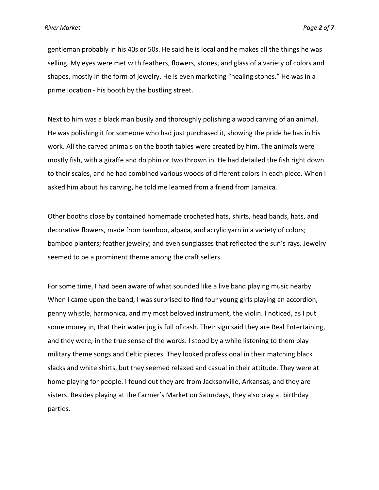gentleman probably in his 40s or 50s. He said he is local and he makes all the things he was selling. My eyes were met with feathers, flowers, stones, and glass of a variety of colors and shapes, mostly in the form of jewelry. He is even marketing "healing stones." He was in a prime location - his booth by the bustling street.

Next to him was a black man busily and thoroughly polishing a wood carving of an animal. He was polishing it for someone who had just purchased it, showing the pride he has in his work. All the carved animals on the booth tables were created by him. The animals were mostly fish, with a giraffe and dolphin or two thrown in. He had detailed the fish right down to their scales, and he had combined various woods of different colors in each piece. When I asked him about his carving, he told me learned from a friend from Jamaica.

Other booths close by contained homemade crocheted hats, shirts, head bands, hats, and decorative flowers, made from bamboo, alpaca, and acrylic yarn in a variety of colors; bamboo planters; feather jewelry; and even sunglasses that reflected the sun's rays. Jewelry seemed to be a prominent theme among the craft sellers.

For some time, I had been aware of what sounded like a live band playing music nearby. When I came upon the band, I was surprised to find four young girls playing an accordion, penny whistle, harmonica, and my most beloved instrument, the violin. I noticed, as I put some money in, that their water jug is full of cash. Their sign said they are Real Entertaining, and they were, in the true sense of the words. I stood by a while listening to them play military theme songs and Celtic pieces. They looked professional in their matching black slacks and white shirts, but they seemed relaxed and casual in their attitude. They were at home playing for people. I found out they are from Jacksonville, Arkansas, and they are sisters. Besides playing at the Farmer's Market on Saturdays, they also play at birthday parties.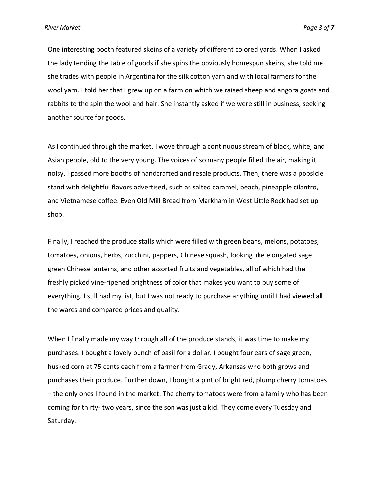One interesting booth featured skeins of a variety of different colored yards. When I asked the lady tending the table of goods if she spins the obviously homespun skeins, she told me she trades with people in Argentina for the silk cotton yarn and with local farmers for the wool yarn. I told her that I grew up on a farm on which we raised sheep and angora goats and rabbits to the spin the wool and hair. She instantly asked if we were still in business, seeking another source for goods.

As I continued through the market, I wove through a continuous stream of black, white, and Asian people, old to the very young. The voices of so many people filled the air, making it noisy. I passed more booths of handcrafted and resale products. Then, there was a popsicle stand with delightful flavors advertised, such as salted caramel, peach, pineapple cilantro, and Vietnamese coffee. Even Old Mill Bread from Markham in West Little Rock had set up shop.

Finally, I reached the produce stalls which were filled with green beans, melons, potatoes, tomatoes, onions, herbs, zucchini, peppers, Chinese squash, looking like elongated sage green Chinese lanterns, and other assorted fruits and vegetables, all of which had the freshly picked vine-ripened brightness of color that makes you want to buy some of everything. I still had my list, but I was not ready to purchase anything until I had viewed all the wares and compared prices and quality.

When I finally made my way through all of the produce stands, it was time to make my purchases. I bought a lovely bunch of basil for a dollar. I bought four ears of sage green, husked corn at 75 cents each from a farmer from Grady, Arkansas who both grows and purchases their produce. Further down, I bought a pint of bright red, plump cherry tomatoes – the only ones I found in the market. The cherry tomatoes were from a family who has been coming for thirty- two years, since the son was just a kid. They come every Tuesday and Saturday.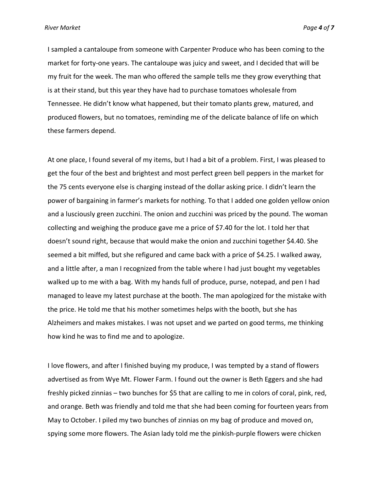*River Market Page 4 of 7*

I sampled a cantaloupe from someone with Carpenter Produce who has been coming to the market for forty-one years. The cantaloupe was juicy and sweet, and I decided that will be my fruit for the week. The man who offered the sample tells me they grow everything that is at their stand, but this year they have had to purchase tomatoes wholesale from Tennessee. He didn't know what happened, but their tomato plants grew, matured, and produced flowers, but no tomatoes, reminding me of the delicate balance of life on which these farmers depend.

At one place, I found several of my items, but I had a bit of a problem. First, I was pleased to get the four of the best and brightest and most perfect green bell peppers in the market for the 75 cents everyone else is charging instead of the dollar asking price. I didn't learn the power of bargaining in farmer's markets for nothing. To that I added one golden yellow onion and a lusciously green zucchini. The onion and zucchini was priced by the pound. The woman collecting and weighing the produce gave me a price of \$7.40 for the lot. I told her that doesn't sound right, because that would make the onion and zucchini together \$4.40. She seemed a bit miffed, but she refigured and came back with a price of \$4.25. I walked away, and a little after, a man I recognized from the table where I had just bought my vegetables walked up to me with a bag. With my hands full of produce, purse, notepad, and pen I had managed to leave my latest purchase at the booth. The man apologized for the mistake with the price. He told me that his mother sometimes helps with the booth, but she has Alzheimers and makes mistakes. I was not upset and we parted on good terms, me thinking how kind he was to find me and to apologize.

I love flowers, and after I finished buying my produce, I was tempted by a stand of flowers advertised as from Wye Mt. Flower Farm. I found out the owner is Beth Eggers and she had freshly picked zinnias – two bunches for \$5 that are calling to me in colors of coral, pink, red, and orange. Beth was friendly and told me that she had been coming for fourteen years from May to October. I piled my two bunches of zinnias on my bag of produce and moved on, spying some more flowers. The Asian lady told me the pinkish-purple flowers were chicken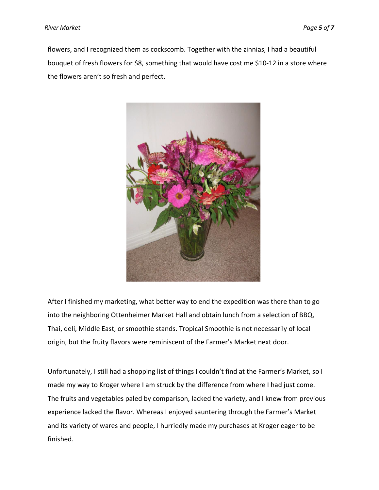flowers, and I recognized them as cockscomb. Together with the zinnias, I had a beautiful bouquet of fresh flowers for \$8, something that would have cost me \$10-12 in a store where the flowers aren't so fresh and perfect.



After I finished my marketing, what better way to end the expedition was there than to go into the neighboring Ottenheimer Market Hall and obtain lunch from a selection of BBQ, Thai, deli, Middle East, or smoothie stands. Tropical Smoothie is not necessarily of local origin, but the fruity flavors were reminiscent of the Farmer's Market next door.

Unfortunately, I still had a shopping list of things I couldn't find at the Farmer's Market, so I made my way to Kroger where I am struck by the difference from where I had just come. The fruits and vegetables paled by comparison, lacked the variety, and I knew from previous experience lacked the flavor. Whereas I enjoyed sauntering through the Farmer's Market and its variety of wares and people, I hurriedly made my purchases at Kroger eager to be finished.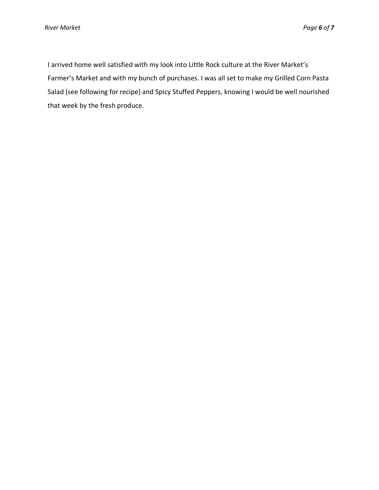I arrived home well satisfied with my look into Little Rock culture at the River Market's Farmer's Market and with my bunch of purchases. I was all set to make my Grilled Corn Pasta Salad (see following for recipe) and Spicy Stuffed Peppers, knowing I would be well nourished that week by the fresh produce.